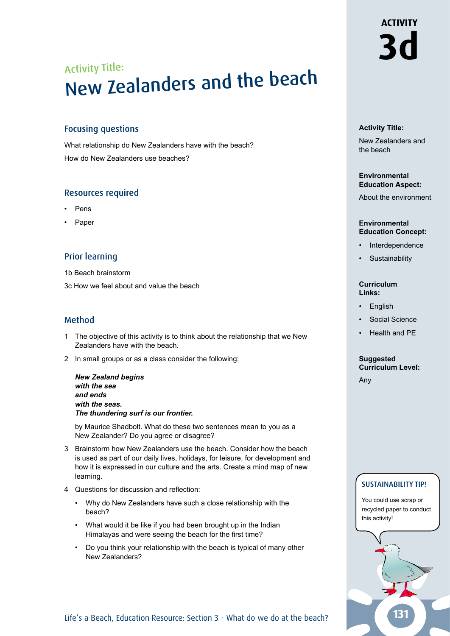# Activity Title: New Zealanders and the beach

## Focusing questions

What relationship do New Zealanders have with the beach? How do New Zealanders use beaches?

## Resources required

- Pens
- **Paper**

## Prior learning

1b Beach brainstorm

3c How we feel about and value the beach

## Method

- 1 The objective of this activity is to think about the relationship that we New Zealanders have with the beach.
- 2 In small groups or as a class consider the following:

*New Zealand begins with the sea and ends with the seas. The thundering surf is our frontier.*

by Maurice Shadbolt. What do these two sentences mean to you as a New Zealander? Do you agree or disagree?

- 3 Brainstorm how New Zealanders use the beach. Consider how the beach is used as part of our daily lives, holidays, for leisure, for development and how it is expressed in our culture and the arts. Create a mind map of new learning.
- 4 Questions for discussion and reflection:
	- Why do New Zealanders have such a close relationship with the beach?
	- What would it be like if you had been brought up in the Indian Himalayas and were seeing the beach for the first time?
	- Do you think your relationship with the beach is typical of many other New Zealanders?

### **Activity Title:**

New Zealanders and the beach

**3d**

**ACTIVITY** 

#### **Environmental Education Aspect:**

About the environment

#### **Environmental Education Concept:**

- **Interdependence**
- **Sustainability**

#### **Curriculum Links:**

- **English**
- Social Science
- Health and PE

#### **Suggested Curriculum Level:**

Any

## SUSTAINABILITY TIP!

You could use scrap or recycled paper to conduct this activity!



Life's a Beach, Education Resource: Section 3 - What do we do at the beach?